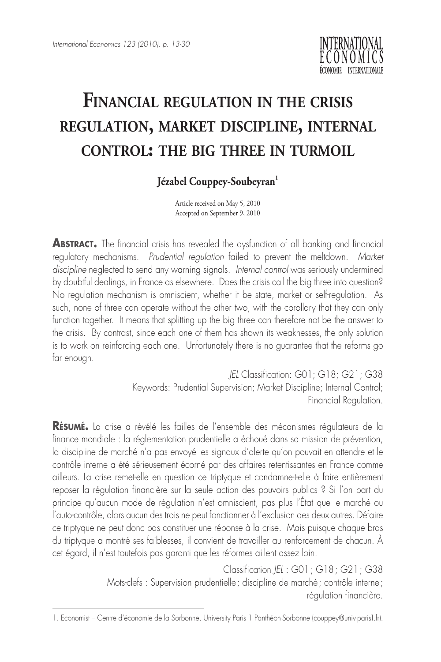

## **Financial regulation in the crisis regulation, market discipline, internal control: the big three in turmoil**

## Jézabel Couppey-Soubeyran<sup>1</sup>

Article received on May 5, 2010 Accepted on September 9, 2010

**ABSTRACT.** The financial crisis has revealed the dysfunction of all banking and financial regulatory mechanisms. *Prudential regulation* failed to prevent the meltdown. *Market discipline* neglected to send any warning signals. *Internal control* was seriously undermined by doubtful dealings, in France as elsewhere. Does the crisis call the big three into question? No regulation mechanism is omniscient, whether it be state, market or self-regulation. As such, none of three can operate without the other two, with the corollary that they can only function together. It means that splitting up the big three can therefore not be the answer to the crisis. By contrast, since each one of them has shown its weaknesses, the only solution is to work on reinforcing each one. Unfortunately there is no guarantee that the reforms go far enough.

> *JEL* Classification: G01; G18; G21; G38 Keywords: Prudential Supervision; Market Discipline; Internal Control; Financial Regulation.

**Résumé.** La crise a révélé les failles de l'ensemble des mécanismes régulateurs de la finance mondiale : la réglementation prudentielle a échoué dans sa mission de prévention, la discipline de marché n'a pas envoyé les signaux d'alerte qu'on pouvait en attendre et le contrôle interne a été sérieusement écorné par des affaires retentissantes en France comme ailleurs. La crise remet-elle en question ce triptyque et condamne-t-elle à faire entièrement reposer la régulation financière sur la seule action des pouvoirs publics ? Si l'on part du principe qu'aucun mode de régulation n'est omniscient, pas plus l'État que le marché ou l'auto-contrôle, alors aucun des trois ne peut fonctionner à l'exclusion des deux autres. Défaire ce triptyque ne peut donc pas constituer une réponse à la crise. Mais puisque chaque bras du triptyque a montré ses faiblesses, il convient de travailler au renforcement de chacun. À cet égard, il n'est toutefois pas garanti que les réformes aillent assez loin.

> Classification *JEL* : G01; G18; G21; G38 Mots-clefs : Supervision prudentielle; discipline de marché; contrôle interne; régulation financière.

<sup>1.</sup> Economist – Centre d'économie de la Sorbonne, University Paris 1 Panthéon-Sorbonne (couppey@univ-paris1.fr).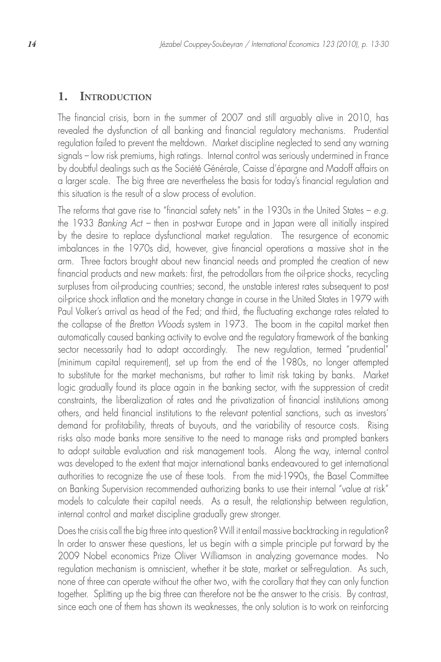## **1. Introduction**

The financial crisis, born in the summer of 2007 and still arguably alive in 2010, has revealed the dysfunction of all banking and financial regulatory mechanisms. Prudential regulation failed to prevent the meltdown. Market discipline neglected to send any warning signals – low risk premiums, high ratings. Internal control was seriously undermined in France by doubtful dealings such as the Société Générale, Caisse d'épargne and Madoff affairs on a larger scale. The big three are nevertheless the basis for today's financial regulation and this situation is the result of a slow process of evolution.

The reforms that gave rise to "financial safety nets" in the 1930s in the United States – *e.g.*  the 1933 *Banking Act –* then in post-war Europe and in Japan were all initially inspired by the desire to replace dysfunctional market regulation. The resurgence of economic imbalances in the 1970s did, however, give financial operations a massive shot in the arm. Three factors brought about new financial needs and prompted the creation of new financial products and new markets: first, the petrodollars from the oil-price shocks, recycling surpluses from oil-producing countries; second, the unstable interest rates subsequent to post oil-price shock inflation and the monetary change in course in the United States in 1979 with Paul Volker's arrival as head of the Fed; and third, the fluctuating exchange rates related to the collapse of the *Bretton Woods* system in 1973. The boom in the capital market then automatically caused banking activity to evolve and the regulatory framework of the banking sector necessarily had to adapt accordingly. The new regulation, termed "prudential" (minimum capital requirement), set up from the end of the 1980s, no longer attempted to substitute for the market mechanisms, but rather to limit risk taking by banks. Market logic gradually found its place again in the banking sector, with the suppression of credit constraints, the liberalization of rates and the privatization of financial institutions among others, and held financial institutions to the relevant potential sanctions, such as investors' demand for profitability, threats of buyouts, and the variability of resource costs. Rising risks also made banks more sensitive to the need to manage risks and prompted bankers to adopt suitable evaluation and risk management tools. Along the way, internal control was developed to the extent that major international banks endeavoured to get international authorities to recognize the use of these tools. From the mid-1990s, the Basel Committee on Banking Supervision recommended authorizing banks to use their internal "value at risk" models to calculate their capital needs. As a result, the relationship between regulation, internal control and market discipline gradually grew stronger.

Does the crisis call the big three into question? Will it entail massive backtracking in regulation? In order to answer these questions, let us begin with a simple principle put forward by the 2009 Nobel economics Prize Oliver Williamson in analyzing governance modes. No regulation mechanism is omniscient, whether it be state, market or self-regulation. As such, none of three can operate without the other two, with the corollary that they can only function together. Splitting up the big three can therefore not be the answer to the crisis. By contrast, since each one of them has shown its weaknesses, the only solution is to work on reinforcing